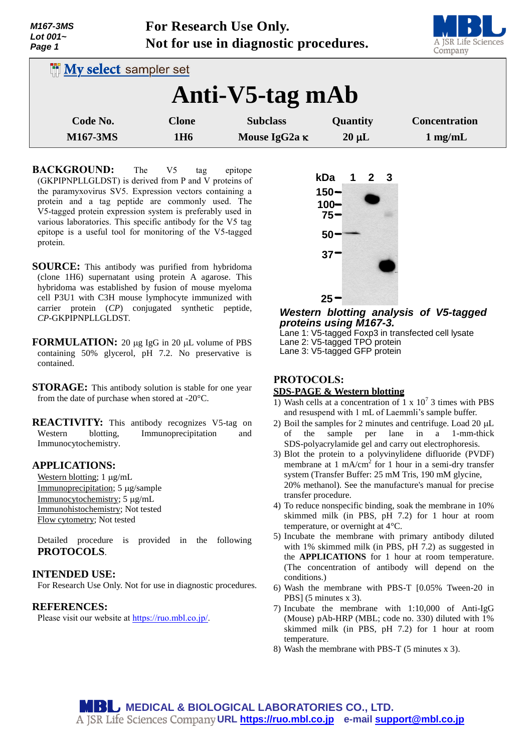*M167-3MS Lot 001~ Page 1*

**For Research Use Only. Not for use in diagnostic procedures.**



| <b>My select sampler set</b> |                                 |                                         |                        |                                           |
|------------------------------|---------------------------------|-----------------------------------------|------------------------|-------------------------------------------|
| Anti-V5-tag mAb              |                                 |                                         |                        |                                           |
| Code No.<br><b>M167-3MS</b>  | <b>Clone</b><br>1H <sub>6</sub> | <b>Subclass</b><br>Mouse IgG2a $\kappa$ | Quantity<br>$20 \mu L$ | <b>Concentration</b><br>$1 \text{ mg/mL}$ |

**BACKGROUND:** The V5 tag epitope (GKPIPNPLLGLDST) is derived from P and V proteins of the paramyxovirus SV5. Expression vectors containing a protein and a tag peptide are commonly used. The V5-tagged protein expression system is preferably used in various laboratories. This specific antibody for the V5 tag epitope is a useful tool for monitoring of the V5-tagged protein.

- **SOURCE:** This antibody was purified from hybridoma (clone 1H6) supernatant using protein A agarose. This hybridoma was established by fusion of mouse myeloma cell P3U1 with C3H mouse lymphocyte immunized with carrier protein (*CP*) conjugated synthetic peptide, *CP*-GKPIPNPLLGLDST.
- **FORMULATION:** 20 µg IgG in 20 µL volume of PBS containing 50% glycerol, pH 7.2. No preservative is contained.
- **STORAGE:** This antibody solution is stable for one year from the date of purchase when stored at -20°C.

**REACTIVITY:** This antibody recognizes V5-tag on Western blotting, Immunoprecipitation and Immunocytochemistry.

### **APPLICATIONS:**

Western blotting;  $1 \mu g/mL$ Immunoprecipitation; 5 µg/sample Immunocytochemistry; 5 µg/mL Immunohistochemistry; Not tested Flow cytometry; Not tested

Detailed procedure is provided in the following **PROTOCOLS**.

### **INTENDED USE:**

For Research Use Only. Not for use in diagnostic procedures.

## **REFERENCES:**

Please visit our website at [https://ruo.mbl.co.jp/.](https://ruo.mbl.co.jp/)



# *Western blotting analysis of V5-tagged proteins using M167-3.*

Lane 1: V5-tagged Foxp3 in transfected cell lysate Lane 2: V5-tagged TPO protein Lane 3: V5-tagged GFP protein

## **PROTOCOLS:**

#### **SDS-PAGE & Western blotting**

- 1) Wash cells at a concentration of 1 x  $10^7$  3 times with PBS and resuspend with 1 mL of Laemmli's sample buffer.
- 2) Boil the samples for 2 minutes and centrifuge. Load  $20 \mu L$ of the sample per lane in a 1-mm-thick SDS-polyacrylamide gel and carry out electrophoresis.
- 3) Blot the protein to a polyvinylidene difluoride (PVDF) membrane at  $1 \text{ mA/cm}^2$  for  $1 \text{ hour}$  in a semi-dry transfer system (Transfer Buffer: 25 mM Tris, 190 mM glycine, 20% methanol). See the manufacture's manual for precise transfer procedure.
- 4) To reduce nonspecific binding, soak the membrane in 10% skimmed milk (in PBS, pH 7.2) for 1 hour at room temperature, or overnight at 4°C.
- 5) Incubate the membrane with primary antibody diluted with 1% skimmed milk (in PBS, pH 7.2) as suggested in the **APPLICATIONS** for 1 hour at room temperature. (The concentration of antibody will depend on the conditions.)
- 6) Wash the membrane with PBS-T [0.05% Tween-20 in PBS] (5 minutes x 3).
- 7) Incubate the membrane with 1:10,000 of Anti-IgG (Mouse) pAb-HRP (MBL; code no. 330) diluted with 1% skimmed milk (in PBS, pH 7.2) for 1 hour at room temperature.
- 8) Wash the membrane with PBS-T (5 minutes x 3).

**MBU MEDICAL & BIOLOGICAL LABORATORIES CO., LTD. URL [https://ruo.mbl.co.jp](https://ruo.mbl.co.jp/) e-mail [support@mbl.co.jp](mailto:support@mbl.co.jp)**